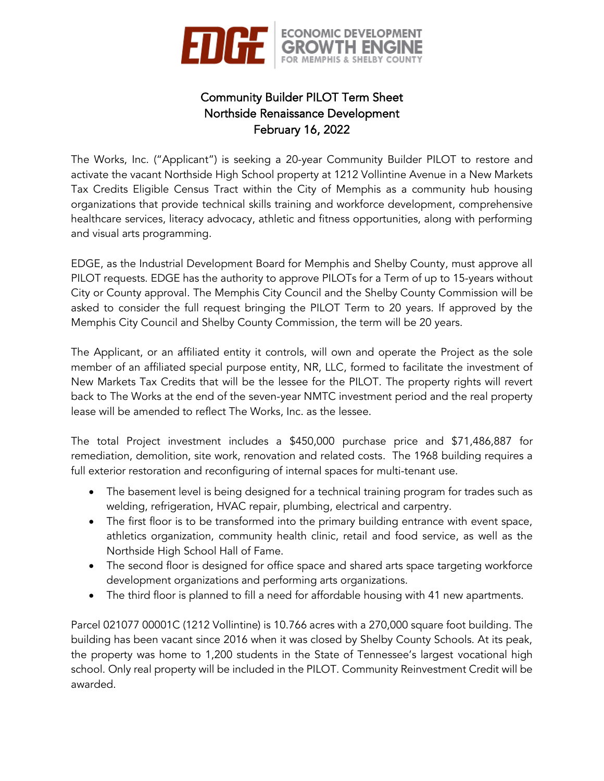

# Community Builder PILOT Term Sheet Northside Renaissance Development February 16, 2022

The Works, Inc. ("Applicant") is seeking a 20-year Community Builder PILOT to restore and activate the vacant Northside High School property at 1212 Vollintine Avenue in a New Markets Tax Credits Eligible Census Tract within the City of Memphis as a community hub housing organizations that provide technical skills training and workforce development, comprehensive healthcare services, literacy advocacy, athletic and fitness opportunities, along with performing and visual arts programming.

EDGE, as the Industrial Development Board for Memphis and Shelby County, must approve all PILOT requests. EDGE has the authority to approve PILOTs for a Term of up to 15-years without City or County approval. The Memphis City Council and the Shelby County Commission will be asked to consider the full request bringing the PILOT Term to 20 years. If approved by the Memphis City Council and Shelby County Commission, the term will be 20 years.

The Applicant, or an affiliated entity it controls, will own and operate the Project as the sole member of an affiliated special purpose entity, NR, LLC, formed to facilitate the investment of New Markets Tax Credits that will be the lessee for the PILOT. The property rights will revert back to The Works at the end of the seven-year NMTC investment period and the real property lease will be amended to reflect The Works, Inc. as the lessee.

The total Project investment includes a \$450,000 purchase price and \$71,486,887 for remediation, demolition, site work, renovation and related costs. The 1968 building requires a full exterior restoration and reconfiguring of internal spaces for multi-tenant use.

- The basement level is being designed for a technical training program for trades such as welding, refrigeration, HVAC repair, plumbing, electrical and carpentry.
- The first floor is to be transformed into the primary building entrance with event space, athletics organization, community health clinic, retail and food service, as well as the Northside High School Hall of Fame.
- The second floor is designed for office space and shared arts space targeting workforce development organizations and performing arts organizations.
- The third floor is planned to fill a need for affordable housing with 41 new apartments.

Parcel 021077 00001C (1212 Vollintine) is 10.766 acres with a 270,000 square foot building. The building has been vacant since 2016 when it was closed by Shelby County Schools. At its peak, the property was home to 1,200 students in the State of Tennessee's largest vocational high school. Only real property will be included in the PILOT. Community Reinvestment Credit will be awarded.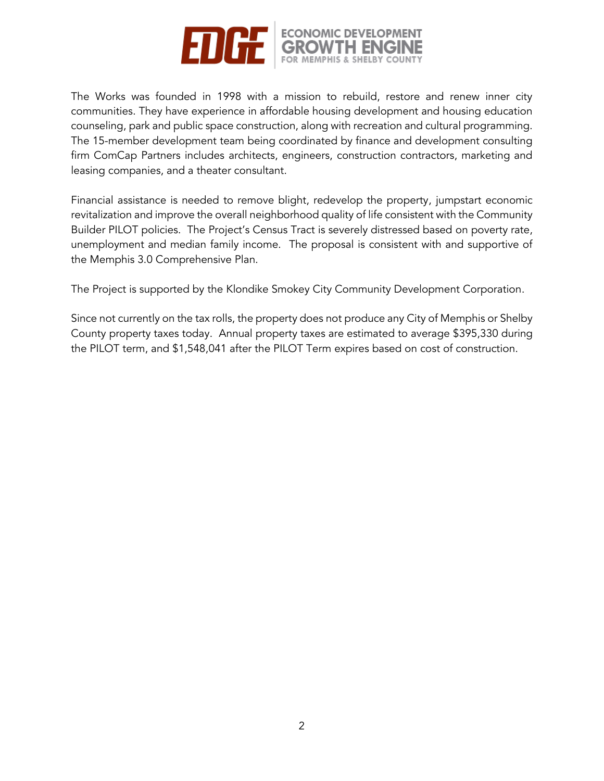

The Works was founded in 1998 with a mission to rebuild, restore and renew inner city communities. They have experience in affordable housing development and housing education counseling, park and public space construction, along with recreation and cultural programming. The 15-member development team being coordinated by finance and development consulting firm ComCap Partners includes architects, engineers, construction contractors, marketing and leasing companies, and a theater consultant.

Financial assistance is needed to remove blight, redevelop the property, jumpstart economic revitalization and improve the overall neighborhood quality of life consistent with the Community Builder PILOT policies. The Project's Census Tract is severely distressed based on poverty rate, unemployment and median family income. The proposal is consistent with and supportive of the Memphis 3.0 Comprehensive Plan.

The Project is supported by the Klondike Smokey City Community Development Corporation.

Since not currently on the tax rolls, the property does not produce any City of Memphis or Shelby County property taxes today. Annual property taxes are estimated to average \$395,330 during the PILOT term, and \$1,548,041 after the PILOT Term expires based on cost of construction.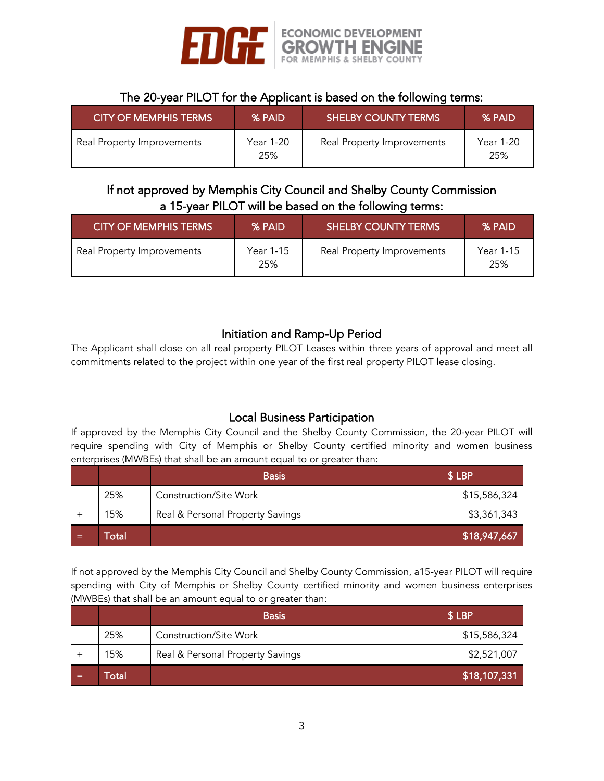

#### The 20-year PILOT for the Applicant is based on the following terms:

| <b>CITY OF MEMPHIS TERMS</b> | % PAID           | <b>SHELBY COUNTY TERMS</b> | % PAID           |
|------------------------------|------------------|----------------------------|------------------|
| Real Property Improvements   | Year 1-20<br>25% | Real Property Improvements | Year 1-20<br>25% |

#### If not approved by Memphis City Council and Shelby County Commission a 15-year PILOT will be based on the following terms:

| <b>CITY OF MEMPHIS TERMS</b> | % PAID           | <b>SHELBY COUNTY TERMS</b> | % PAID           |
|------------------------------|------------------|----------------------------|------------------|
| Real Property Improvements   | Year 1-15<br>25% | Real Property Improvements | Year 1-15<br>25% |

## Initiation and Ramp-Up Period

The Applicant shall close on all real property PILOT Leases within three years of approval and meet all commitments related to the project within one year of the first real property PILOT lease closing.

## Local Business Participation

If approved by the Memphis City Council and the Shelby County Commission, the 20-year PILOT will require spending with City of Memphis or Shelby County certified minority and women business enterprises (MWBEs) that shall be an amount equal to or greater than:

|     |       | <b>Basis</b>                     | \$LBP        |
|-----|-------|----------------------------------|--------------|
|     | 25%   | Construction/Site Work           | \$15,586,324 |
|     | 15%   | Real & Personal Property Savings | \$3,361,343  |
| $=$ | Гоtal |                                  | \$18,947,667 |

If not approved by the Memphis City Council and Shelby County Commission, a15-year PILOT will require spending with City of Memphis or Shelby County certified minority and women business enterprises (MWBEs) that shall be an amount equal to or greater than:

|   |       | <b>Basis</b>                     | \$LBP        |
|---|-------|----------------------------------|--------------|
|   | 25%   | Construction/Site Work           | \$15,586,324 |
|   | 15%   | Real & Personal Property Savings | \$2,521,007  |
| = | `otal |                                  | \$18,107,331 |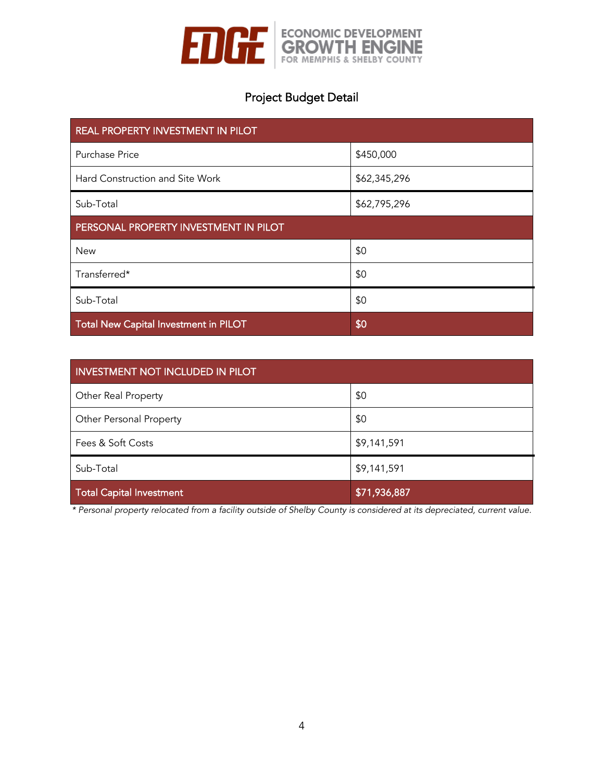

# Project Budget Detail

| REAL PROPERTY INVESTMENT IN PILOT     |              |  |
|---------------------------------------|--------------|--|
| Purchase Price                        | \$450,000    |  |
| Hard Construction and Site Work       | \$62,345,296 |  |
| Sub-Total                             | \$62,795,296 |  |
| PERSONAL PROPERTY INVESTMENT IN PILOT |              |  |
| <b>New</b>                            | \$0          |  |
| Transferred*                          | \$0          |  |
| Sub-Total                             | \$0          |  |
| Total New Capital Investment in PILOT | \$0          |  |

| <b>INVESTMENT NOT INCLUDED IN PILOT</b> |              |  |
|-----------------------------------------|--------------|--|
| Other Real Property                     | \$0          |  |
| Other Personal Property                 | \$0          |  |
| Fees & Soft Costs                       | \$9,141,591  |  |
| Sub-Total                               | \$9,141,591  |  |
| <b>Total Capital Investment</b>         | \$71,936,887 |  |

*\* Personal property relocated from a facility outside of Shelby County is considered at its depreciated, current value.*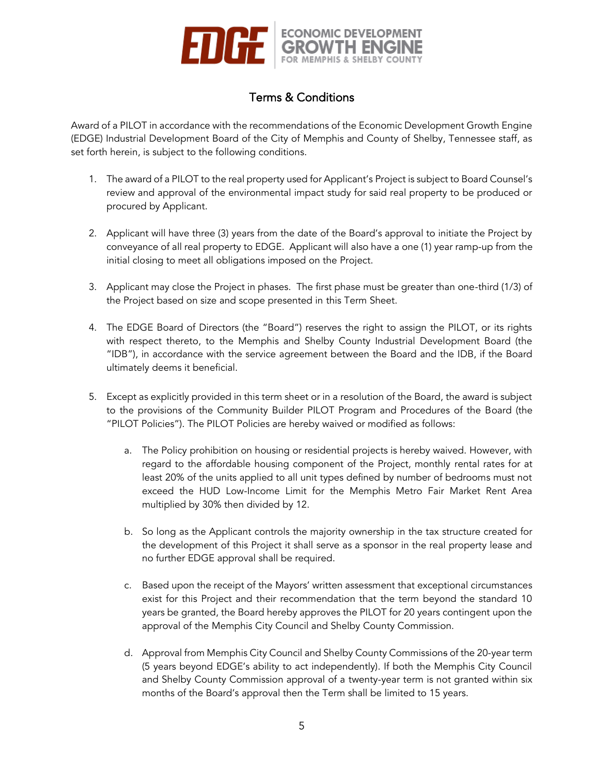

## Terms & Conditions

Award of a PILOT in accordance with the recommendations of the Economic Development Growth Engine (EDGE) Industrial Development Board of the City of Memphis and County of Shelby, Tennessee staff, as set forth herein, is subject to the following conditions.

- 1. The award of a PILOT to the real property used for Applicant's Project is subject to Board Counsel's review and approval of the environmental impact study for said real property to be produced or procured by Applicant.
- 2. Applicant will have three (3) years from the date of the Board's approval to initiate the Project by conveyance of all real property to EDGE. Applicant will also have a one (1) year ramp-up from the initial closing to meet all obligations imposed on the Project.
- 3. Applicant may close the Project in phases. The first phase must be greater than one-third (1/3) of the Project based on size and scope presented in this Term Sheet.
- 4. The EDGE Board of Directors (the "Board") reserves the right to assign the PILOT, or its rights with respect thereto, to the Memphis and Shelby County Industrial Development Board (the "IDB"), in accordance with the service agreement between the Board and the IDB, if the Board ultimately deems it beneficial.
- 5. Except as explicitly provided in this term sheet or in a resolution of the Board, the award is subject to the provisions of the Community Builder PILOT Program and Procedures of the Board (the "PILOT Policies"). The PILOT Policies are hereby waived or modified as follows:
	- a. The Policy prohibition on housing or residential projects is hereby waived. However, with regard to the affordable housing component of the Project, monthly rental rates for at least 20% of the units applied to all unit types defined by number of bedrooms must not exceed the HUD Low-Income Limit for the Memphis Metro Fair Market Rent Area multiplied by 30% then divided by 12.
	- b. So long as the Applicant controls the majority ownership in the tax structure created for the development of this Project it shall serve as a sponsor in the real property lease and no further EDGE approval shall be required.
	- c. Based upon the receipt of the Mayors' written assessment that exceptional circumstances exist for this Project and their recommendation that the term beyond the standard 10 years be granted, the Board hereby approves the PILOT for 20 years contingent upon the approval of the Memphis City Council and Shelby County Commission.
	- d. Approval from Memphis City Council and Shelby County Commissions of the 20-year term (5 years beyond EDGE's ability to act independently). If both the Memphis City Council and Shelby County Commission approval of a twenty-year term is not granted within six months of the Board's approval then the Term shall be limited to 15 years.